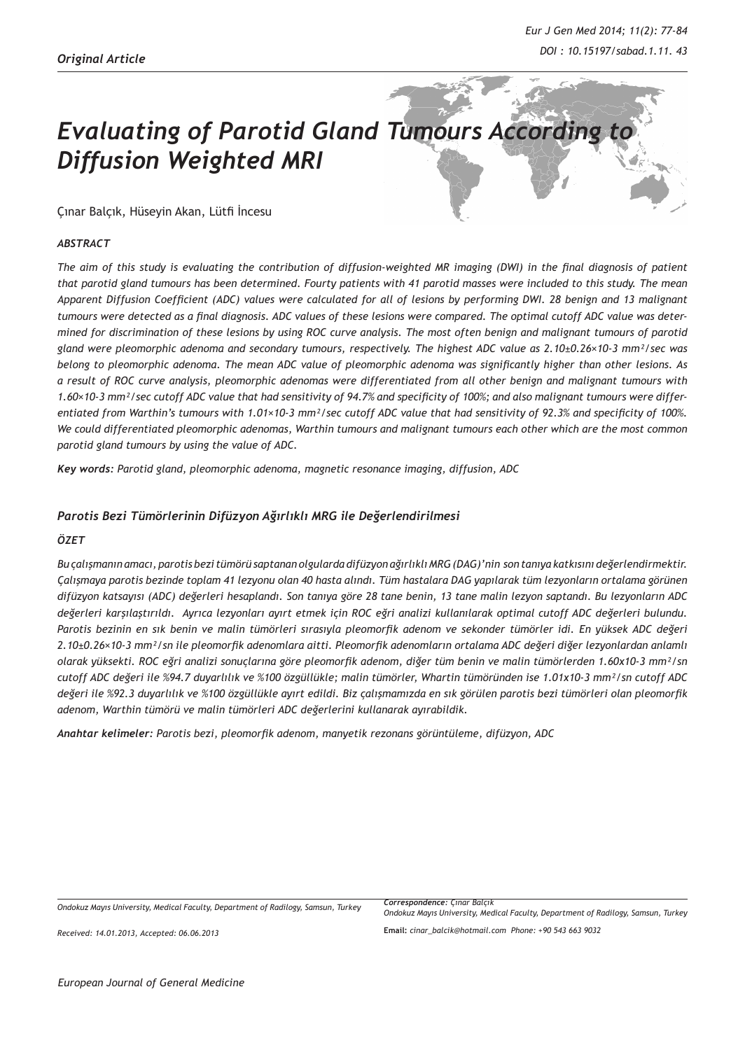# **Evaluating of Parotid Gland Tumours According** *Diffusion Weighted MRI*

Çınar Balçık, Hüseyin Akan, Lütfi İncesu

#### *ABSTRACT*

*The aim of this study is evaluating the contribution of diffusion-weighted MR imaging (DWI) in the final diagnosis of patient that parotid gland tumours has been determined. Fourty patients with 41 parotid masses were included to this study. The mean Apparent Diffusion Coefficient (ADC) values were calculated for all of lesions by performing DWI. 28 benign and 13 malignant tumours were detected as a final diagnosis. ADC values of these lesions were compared. The optimal cutoff ADC value was determined for discrimination of these lesions by using ROC curve analysis. The most often benign and malignant tumours of parotid gland were pleomorphic adenoma and secondary tumours, respectively. The highest ADC value as 2.10±0.26×10-3 mm²/sec was belong to pleomorphic adenoma. The mean ADC value of pleomorphic adenoma was significantly higher than other lesions. As a result of ROC curve analysis, pleomorphic adenomas were differentiated from all other benign and malignant tumours with 1.60×10-3 mm²/sec cutoff ADC value that had sensitivity of 94.7% and specificity of 100%; and also malignant tumours were differentiated from Warthin's tumours with 1.01×10-3 mm²/sec cutoff ADC value that had sensitivity of 92.3% and specificity of 100%. We could differentiated pleomorphic adenomas, Warthin tumours and malignant tumours each other which are the most common parotid gland tumours by using the value of ADC.*

*Key words: Parotid gland, pleomorphic adenoma, magnetic resonance imaging, diffusion, ADC* 

#### *Parotis Bezi Tümörlerinin Difüzyon Ağırlıklı MRG ile Değerlendirilmesi*

#### *ÖZET*

*Bu çalışmanın amacı, parotis bezi tümörü saptanan olgularda difüzyon ağırlıklı MRG (DAG)'nin son tanıya katkısını değerlendirmektir. Çalışmaya parotis bezinde toplam 41 lezyonu olan 40 hasta alındı. Tüm hastalara DAG yapılarak tüm lezyonların ortalama görünen difüzyon katsayısı (ADC) değerleri hesaplandı. Son tanıya göre 28 tane benin, 13 tane malin lezyon saptandı. Bu lezyonların ADC değerleri karşılaştırıldı. Ayrıca lezyonları ayırt etmek için ROC eğri analizi kullanılarak optimal cutoff ADC değerleri bulundu. Parotis bezinin en sık benin ve malin tümörleri sırasıyla pleomorfik adenom ve sekonder tümörler idi. En yüksek ADC değeri 2.10±0.26×10-3 mm²/sn ile pleomorfik adenomlara aitti. Pleomorfik adenomların ortalama ADC değeri diğer lezyonlardan anlamlı olarak yüksekti. ROC eğri analizi sonuçlarına göre pleomorfik adenom, diğer tüm benin ve malin tümörlerden 1.60x10-3 mm²/sn cutoff ADC değeri ile %94.7 duyarlılık ve %100 özgüllükle; malin tümörler, Whartin tümöründen ise 1.01x10-3 mm²/sn cutoff ADC değeri ile %92.3 duyarlılık ve %100 özgüllükle ayırt edildi. Biz çalışmamızda en sık görülen parotis bezi tümörleri olan pleomorfik adenom, Warthin tümörü ve malin tümörleri ADC değerlerini kullanarak ayırabildik.*

*Anahtar kelimeler: Parotis bezi, pleomorfik adenom, manyetik rezonans görüntüleme, difüzyon, ADC*

*Ondokuz Mayıs University, Medical Faculty, Department of Radilogy, Samsun, Turkey*

*Received: 14.01.2013, Accepted: 06.06.2013*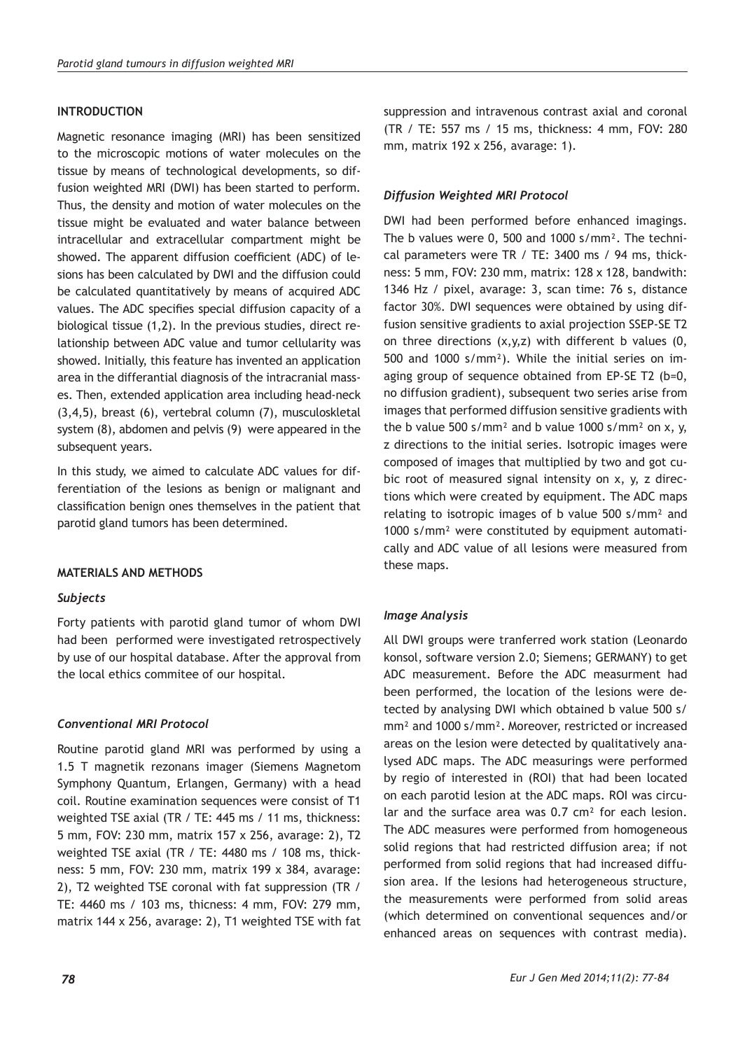## **INTRODUCTION**

Magnetic resonance imaging (MRI) has been sensitized to the microscopic motions of water molecules on the tissue by means of technological developments, so diffusion weighted MRI (DWI) has been started to perform. Thus, the density and motion of water molecules on the tissue might be evaluated and water balance between intracellular and extracellular compartment might be showed. The apparent diffusion coefficient (ADC) of lesions has been calculated by DWI and the diffusion could be calculated quantitatively by means of acquired ADC values. The ADC specifies special diffusion capacity of a biological tissue (1,2). In the previous studies, direct relationship between ADC value and tumor cellularity was showed. Initially, this feature has invented an application area in the differantial diagnosis of the intracranial masses. Then, extended application area including head-neck (3,4,5), breast (6), vertebral column (7), musculoskletal system (8), abdomen and pelvis (9) were appeared in the subsequent years.

In this study, we aimed to calculate ADC values for differentiation of the lesions as benign or malignant and classification benign ones themselves in the patient that parotid gland tumors has been determined.

## **MATERIALS AND METHODS**

## *Subjects*

Forty patients with parotid gland tumor of whom DWI had been performed were investigated retrospectively by use of our hospital database. After the approval from the local ethics commitee of our hospital.

## *Conventional MRI Protocol*

Routine parotid gland MRI was performed by using a 1.5 T magnetik rezonans imager (Siemens Magnetom Symphony Quantum, Erlangen, Germany) with a head coil. Routine examination sequences were consist of T1 weighted TSE axial (TR / TE: 445 ms / 11 ms, thickness: 5 mm, FOV: 230 mm, matrix 157 x 256, avarage: 2), T2 weighted TSE axial (TR / TE: 4480 ms / 108 ms, thickness: 5 mm, FOV: 230 mm, matrix 199 x 384, avarage: 2), T2 weighted TSE coronal with fat suppression (TR / TE: 4460 ms / 103 ms, thicness: 4 mm, FOV: 279 mm, matrix 144 x 256, avarage: 2), T1 weighted TSE with fat suppression and intravenous contrast axial and coronal (TR / TE: 557 ms / 15 ms, thickness: 4 mm, FOV: 280 mm, matrix 192 x 256, avarage: 1).

## *Diffusion Weighted MRI Protocol*

DWI had been performed before enhanced imagings. The b values were 0, 500 and 1000 s/mm². The technical parameters were TR / TE: 3400 ms / 94 ms, thickness: 5 mm, FOV: 230 mm, matrix: 128 x 128, bandwith: 1346 Hz / pixel, avarage: 3, scan time: 76 s, distance factor 30%. DWI sequences were obtained by using diffusion sensitive gradients to axial projection SSEP-SE T2 on three directions  $(x,y,z)$  with different b values  $(0,$ 500 and 1000 s/mm²). While the initial series on imaging group of sequence obtained from EP-SE T2 (b=0, no diffusion gradient), subsequent two series arise from images that performed diffusion sensitive gradients with the b value 500 s/mm<sup>2</sup> and b value 1000 s/mm<sup>2</sup> on x, y, z directions to the initial series. Isotropic images were composed of images that multiplied by two and got cubic root of measured signal intensity on x, y, z directions which were created by equipment. The ADC maps relating to isotropic images of b value 500 s/mm² and 1000 s/mm² were constituted by equipment automatically and ADC value of all lesions were measured from these maps.

## *Image Analysis*

All DWI groups were tranferred work station (Leonardo konsol, software version 2.0; Siemens; GERMANY) to get ADC measurement. Before the ADC measurment had been performed, the location of the lesions were detected by analysing DWI which obtained b value 500 s/ mm² and 1000 s/mm². Moreover, restricted or increased areas on the lesion were detected by qualitatively analysed ADC maps. The ADC measurings were performed by regio of interested in (ROI) that had been located on each parotid lesion at the ADC maps. ROI was circular and the surface area was 0.7 cm² for each lesion. The ADC measures were performed from homogeneous solid regions that had restricted diffusion area; if not performed from solid regions that had increased diffusion area. If the lesions had heterogeneous structure, the measurements were performed from solid areas (which determined on conventional sequences and/or enhanced areas on sequences with contrast media).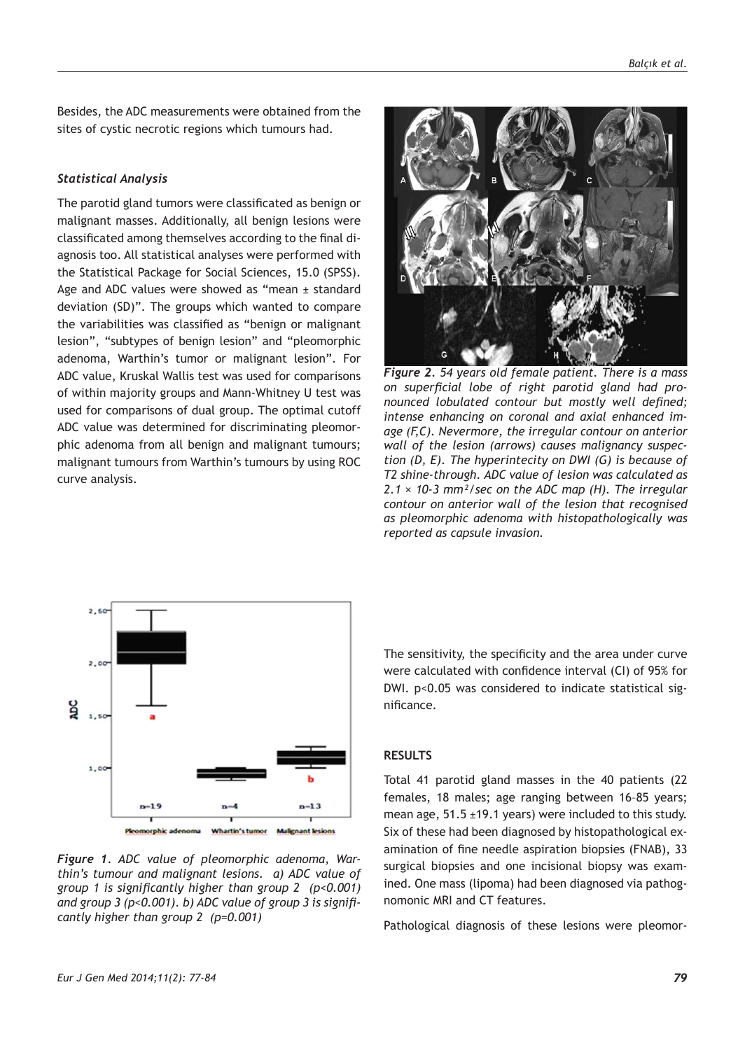Besides, the ADC measurements were obtained from the sites of cystic necrotic regions which tumours had.

#### *Statistical Analysis*

The parotid gland tumors were classificated as benign or malignant masses. Additionally, all benign lesions were classificated among themselves according to the final diagnosis too. All statistical analyses were performed with the Statistical Package for Social Sciences, 15.0 (SPSS). Age and ADC values were showed as "mean ± standard deviation (SD)". The groups which wanted to compare the variabilities was classified as "benign or malignant lesion", "subtypes of benign lesion" and "pleomorphic adenoma, Warthin's tumor or malignant lesion". For ADC value, Kruskal Wallis test was used for comparisons of within majority groups and Mann-Whitney U test was used for comparisons of dual group. The optimal cutoff ADC value was determined for discriminating pleomorphic adenoma from all benign and malignant tumours; malignant tumours from Warthin's tumours by using ROC curve analysis.



*Figure 2. 54 years old female patient. There is a mass on superficial lobe of right parotid gland had pronounced lobulated contour but mostly well defined; intense enhancing on coronal and axial enhanced image (F,C). Nevermore, the irregular contour on anterior wall of the lesion (arrows) causes malignancy suspection (D, E). The hyperintecity on DWI (G) is because of T2 shine-through. ADC value of lesion was calculated as 2.1 × 10-3 mm²/sec on the ADC map (H). The irregular contour on anterior wall of the lesion that recognised as pleomorphic adenoma with histopathologically was reported as capsule invasion.*



*Figure 1. ADC value of pleomorphic adenoma, Warthin's tumour and malignant lesions. a) ADC value of group 1 is significantly higher than group 2 (p<0.001) and group 3 (p<0.001). b) ADC value of group 3 is significantly higher than group 2 (p=0.001)*

The sensitivity, the specificity and the area under curve were calculated with confidence interval (CI) of 95% for DWI. p<0.05 was considered to indicate statistical significance.

## **RESULTS**

Total 41 parotid gland masses in the 40 patients (22 females, 18 males; age ranging between 16–85 years; mean age,  $51.5 \pm 19.1$  years) were included to this study. Six of these had been diagnosed by histopathological examination of fine needle aspiration biopsies (FNAB), 33 surgical biopsies and one incisional biopsy was examined. One mass (lipoma) had been diagnosed via pathognomonic MRI and CT features.

Pathological diagnosis of these lesions were pleomor-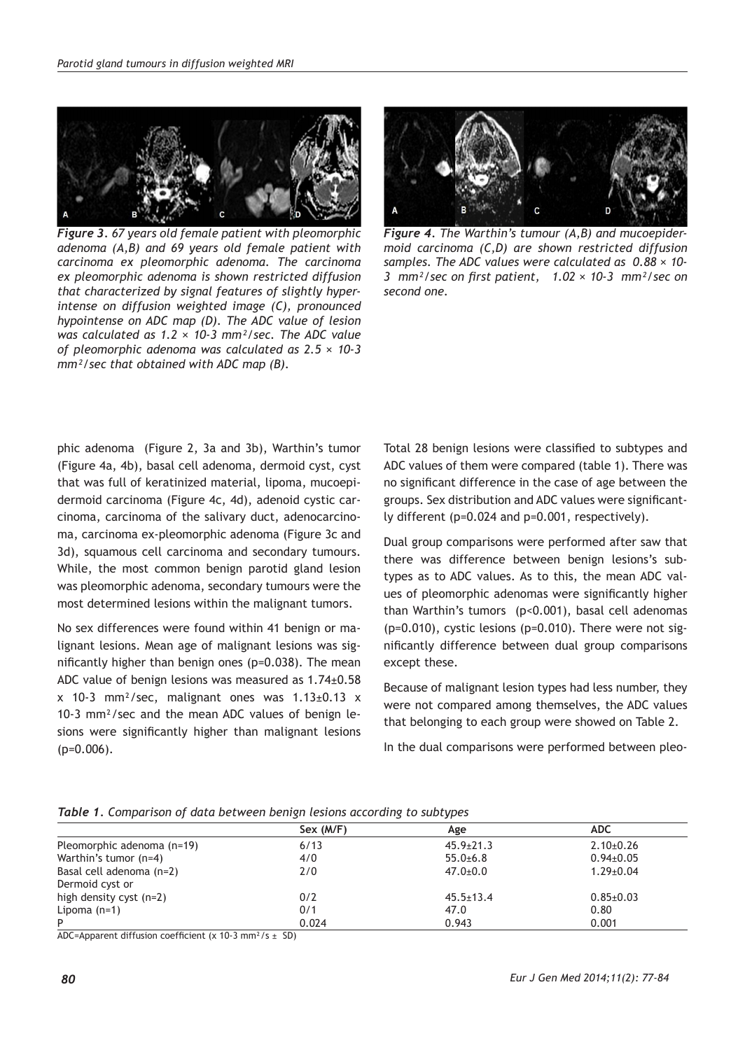

*Figure 3. 67 years old female patient with pleomorphic adenoma (A,B) and 69 years old female patient with carcinoma ex pleomorphic adenoma. The carcinoma ex pleomorphic adenoma is shown restricted diffusion that characterized by signal features of slightly hyperintense on diffusion weighted image (C), pronounced hypointense on ADC map (D). The ADC value of lesion was calculated as 1.2 × 10-3 mm²/sec. The ADC value of pleomorphic adenoma was calculated as 2.5 × 10-3 mm²/sec that obtained with ADC map (B).*



*Figure 4. The Warthin's tumour (A,B) and mucoepidermoid carcinoma (C,D) are shown restricted diffusion samples. The ADC values were calculated as 0.88 × 10- 3 mm²/sec on first patient, 1.02 × 10-3 mm²/sec on second one.*

phic adenoma (Figure 2, 3a and 3b), Warthin's tumor (Figure 4a, 4b), basal cell adenoma, dermoid cyst, cyst that was full of keratinized material, lipoma, mucoepidermoid carcinoma (Figure 4c, 4d), adenoid cystic carcinoma, carcinoma of the salivary duct, adenocarcinoma, carcinoma ex-pleomorphic adenoma (Figure 3c and 3d), squamous cell carcinoma and secondary tumours. While, the most common benign parotid gland lesion was pleomorphic adenoma, secondary tumours were the most determined lesions within the malignant tumors.

No sex differences were found within 41 benign or malignant lesions. Mean age of malignant lesions was significantly higher than benign ones (p=0.038). The mean ADC value of benign lesions was measured as 1.74±0.58  $x$  10-3 mm<sup>2</sup>/sec, malignant ones was  $1.13\pm0.13$  x 10-3 mm²/sec and the mean ADC values of benign lesions were significantly higher than malignant lesions  $(p=0.006)$ .

Total 28 benign lesions were classified to subtypes and ADC values of them were compared (table 1). There was no significant difference in the case of age between the groups. Sex distribution and ADC values were significantly different (p=0.024 and p=0.001, respectively).

Dual group comparisons were performed after saw that there was difference between benign lesions's subtypes as to ADC values. As to this, the mean ADC values of pleomorphic adenomas were significantly higher than Warthin's tumors (p<0.001), basal cell adenomas (p=0.010), cystic lesions (p=0.010). There were not significantly difference between dual group comparisons except these.

Because of malignant lesion types had less number, they were not compared among themselves, the ADC values that belonging to each group were showed on Table 2.

In the dual comparisons were performed between pleo-

|                            | Sex (M/F) | Age             | <b>ADC</b>      |
|----------------------------|-----------|-----------------|-----------------|
| Pleomorphic adenoma (n=19) | 6/13      | $45.9 \pm 21.3$ | $2.10\pm0.26$   |
| Warthin's tumor (n=4)      | 4/0       | $55.0+6.8$      | $0.94 \pm 0.05$ |
| Basal cell adenoma (n=2)   | 2/0       | $47.0 + 0.0$    | $1.29 \pm 0.04$ |
| Dermoid cyst or            |           |                 |                 |
| high density cyst $(n=2)$  | 0/2       | $45.5 \pm 13.4$ | $0.85 \pm 0.03$ |
| Lipoma $(n=1)$             | 0/1       | 47.0            | 0.80            |
| P                          | 0.024     | 0.943           | 0.001           |

ADC=Apparent diffusion coefficient (x 10-3 mm<sup>2</sup>/s  $\pm$  SD)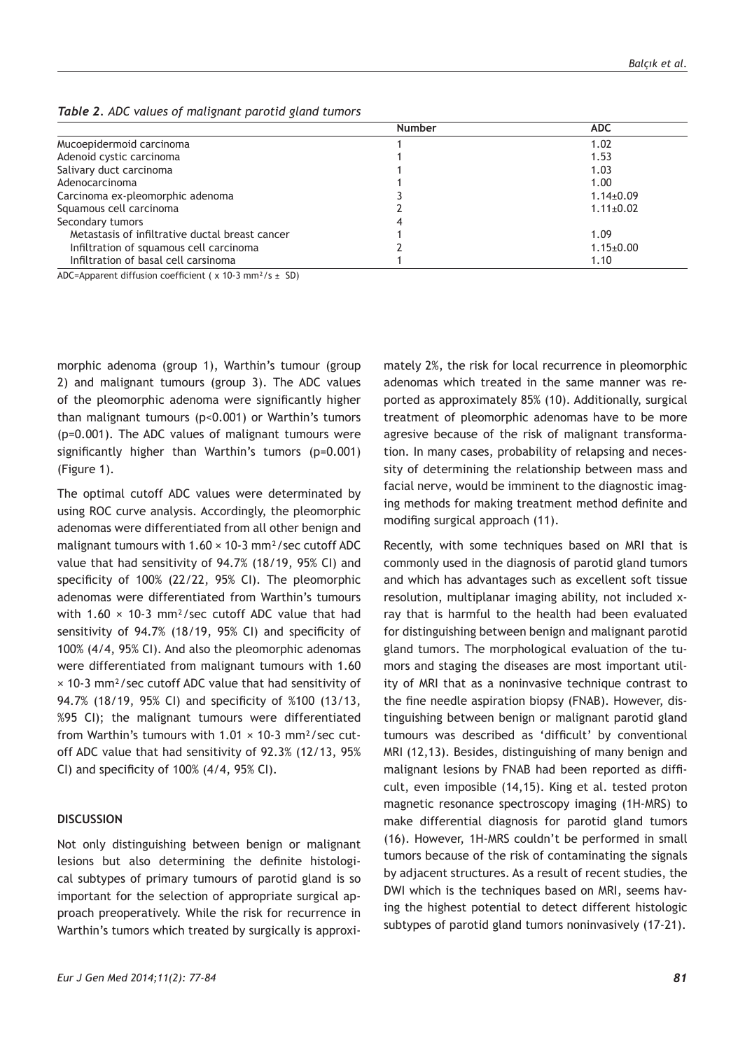| <b>Number</b> | <b>ADC</b>      |
|---------------|-----------------|
|               | 1.02            |
|               | 1.53            |
|               | 1.03            |
|               | 1.00            |
|               | $1.14 \pm 0.09$ |
|               | $1.11 \pm 0.02$ |
|               |                 |
|               | 1.09            |
|               | $1.15 \pm 0.00$ |
|               | 1.10            |
|               |                 |

*Table 2. ADC values of malignant parotid gland tumors* 

ADC=Apparent diffusion coefficient ( $\times$  10-3 mm<sup>2</sup>/s  $\pm$  SD)

morphic adenoma (group 1), Warthin's tumour (group 2) and malignant tumours (group 3). The ADC values of the pleomorphic adenoma were significantly higher than malignant tumours (p<0.001) or Warthin's tumors (p=0.001). The ADC values of malignant tumours were significantly higher than Warthin's tumors (p=0.001) (Figure 1).

The optimal cutoff ADC values were determinated by using ROC curve analysis. Accordingly, the pleomorphic adenomas were differentiated from all other benign and malignant tumours with  $1.60 \times 10^{-3}$  mm<sup>2</sup>/sec cutoff ADC value that had sensitivity of 94.7% (18/19, 95% CI) and specificity of 100% (22/22, 95% CI). The pleomorphic adenomas were differentiated from Warthin's tumours with 1.60  $\times$  10-3 mm<sup>2</sup>/sec cutoff ADC value that had sensitivity of 94.7% (18/19, 95% CI) and specificity of 100% (4/4, 95% CI). And also the pleomorphic adenomas were differentiated from malignant tumours with 1.60 × 10-3 mm²/sec cutoff ADC value that had sensitivity of 94.7% (18/19, 95% CI) and specificity of %100 (13/13, %95 CI); the malignant tumours were differentiated from Warthin's tumours with  $1.01 \times 10^{-3}$  mm<sup>2</sup>/sec cutoff ADC value that had sensitivity of 92.3% (12/13, 95% CI) and specificity of 100% (4/4, 95% CI).

#### **DISCUSSION**

Not only distinguishing between benign or malignant lesions but also determining the definite histological subtypes of primary tumours of parotid gland is so important for the selection of appropriate surgical approach preoperatively. While the risk for recurrence in Warthin's tumors which treated by surgically is approxi-

mately 2%, the risk for local recurrence in pleomorphic adenomas which treated in the same manner was reported as approximately 85% (10). Additionally, surgical treatment of pleomorphic adenomas have to be more agresive because of the risk of malignant transformation. In many cases, probability of relapsing and necessity of determining the relationship between mass and facial nerve, would be imminent to the diagnostic imaging methods for making treatment method definite and modifing surgical approach (11).

Recently, with some techniques based on MRI that is commonly used in the diagnosis of parotid gland tumors and which has advantages such as excellent soft tissue resolution, multiplanar imaging ability, not included xray that is harmful to the health had been evaluated for distinguishing between benign and malignant parotid gland tumors. The morphological evaluation of the tumors and staging the diseases are most important utility of MRI that as a noninvasive technique contrast to the fine needle aspiration biopsy (FNAB). However, distinguishing between benign or malignant parotid gland tumours was described as 'difficult' by conventional MRI (12,13). Besides, distinguishing of many benign and malignant lesions by FNAB had been reported as difficult, even imposible (14,15). King et al. tested proton magnetic resonance spectroscopy imaging (1H-MRS) to make differential diagnosis for parotid gland tumors (16). However, 1H-MRS couldn't be performed in small tumors because of the risk of contaminating the signals by adjacent structures. As a result of recent studies, the DWI which is the techniques based on MRI, seems having the highest potential to detect different histologic subtypes of parotid gland tumors noninvasively (17-21).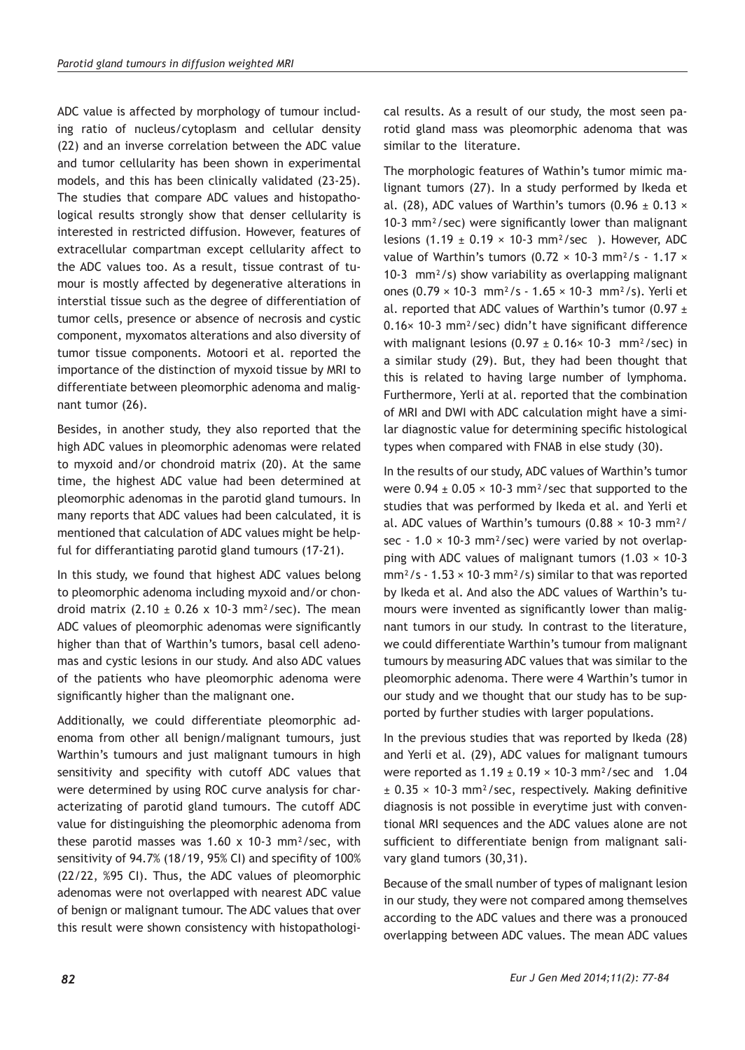ADC value is affected by morphology of tumour including ratio of nucleus/cytoplasm and cellular density (22) and an inverse correlation between the ADC value and tumor cellularity has been shown in experimental models, and this has been clinically validated (23-25). The studies that compare ADC values and histopathological results strongly show that denser cellularity is interested in restricted diffusion. However, features of extracellular compartman except cellularity affect to the ADC values too. As a result, tissue contrast of tumour is mostly affected by degenerative alterations in interstial tissue such as the degree of differentiation of tumor cells, presence or absence of necrosis and cystic component, myxomatos alterations and also diversity of tumor tissue components. Motoori et al. reported the importance of the distinction of myxoid tissue by MRI to differentiate between pleomorphic adenoma and malignant tumor (26).

Besides, in another study, they also reported that the high ADC values in pleomorphic adenomas were related to myxoid and/or chondroid matrix (20). At the same time, the highest ADC value had been determined at pleomorphic adenomas in the parotid gland tumours. In many reports that ADC values had been calculated, it is mentioned that calculation of ADC values might be helpful for differantiating parotid gland tumours (17-21).

In this study, we found that highest ADC values belong to pleomorphic adenoma including myxoid and/or chondroid matrix  $(2.10 \pm 0.26 \times 10^{-3} \text{ mm}^2/\text{sec})$ . The mean ADC values of pleomorphic adenomas were significantly higher than that of Warthin's tumors, basal cell adenomas and cystic lesions in our study. And also ADC values of the patients who have pleomorphic adenoma were significantly higher than the malignant one.

Additionally, we could differentiate pleomorphic adenoma from other all benign/malignant tumours, just Warthin's tumours and just malignant tumours in high sensitivity and specifity with cutoff ADC values that were determined by using ROC curve analysis for characterizating of parotid gland tumours. The cutoff ADC value for distinguishing the pleomorphic adenoma from these parotid masses was  $1.60 \times 10^{-3}$  mm<sup>2</sup>/sec, with sensitivity of 94.7% (18/19, 95% CI) and specifity of 100% (22/22, %95 CI). Thus, the ADC values of pleomorphic adenomas were not overlapped with nearest ADC value of benign or malignant tumour. The ADC values that over this result were shown consistency with histopathological results. As a result of our study, the most seen parotid gland mass was pleomorphic adenoma that was similar to the literature.

The morphologic features of Wathin's tumor mimic malignant tumors (27). In a study performed by Ikeda et al. (28), ADC values of Warthin's tumors (0.96  $\pm$  0.13  $\times$ 10-3 mm²/sec) were significantly lower than malignant lesions (1.19  $\pm$  0.19  $\times$  10-3 mm<sup>2</sup>/sec ). However, ADC value of Warthin's tumors (0.72  $\times$  10-3 mm<sup>2</sup>/s - 1.17  $\times$ 10-3 mm²/s) show variability as overlapping malignant ones (0.79 × 10-3 mm²/s - 1.65 × 10-3 mm²/s). Yerli et al. reported that ADC values of Warthin's tumor  $(0.97 \pm 1)$ 0.16× 10-3 mm²/sec) didn't have significant difference with malignant lesions  $(0.97 \pm 0.16 \times 10^{-3} \text{ mm}^2/\text{sec})$  in a similar study (29). But, they had been thought that this is related to having large number of lymphoma. Furthermore, Yerli at al. reported that the combination of MRI and DWI with ADC calculation might have a similar diagnostic value for determining specific histological types when compared with FNAB in else study (30).

In the results of our study, ADC values of Warthin's tumor were  $0.94 \pm 0.05 \times 10^{-3}$  mm<sup>2</sup>/sec that supported to the studies that was performed by Ikeda et al. and Yerli et al. ADC values of Warthin's tumours  $(0.88 \times 10^{-3} \text{ mm}^2)$ sec - 1.0  $\times$  10-3 mm<sup>2</sup>/sec) were varied by not overlapping with ADC values of malignant tumors  $(1.03 \times 10^{-3})$  $mm<sup>2</sup>/s - 1.53 \times 10-3 mm<sup>2</sup>/s)$  similar to that was reported by Ikeda et al. And also the ADC values of Warthin's tumours were invented as significantly lower than malignant tumors in our study. In contrast to the literature, we could differentiate Warthin's tumour from malignant tumours by measuring ADC values that was similar to the pleomorphic adenoma. There were 4 Warthin's tumor in our study and we thought that our study has to be supported by further studies with larger populations.

In the previous studies that was reported by Ikeda (28) and Yerli et al. (29), ADC values for malignant tumours were reported as  $1.19 \pm 0.19 \times 10^{-3}$  mm<sup>2</sup>/sec and 1.04  $\pm$  0.35  $\times$  10-3 mm<sup>2</sup>/sec, respectively. Making definitive diagnosis is not possible in everytime just with conventional MRI sequences and the ADC values alone are not sufficient to differentiate benign from malignant salivary gland tumors (30,31).

Because of the small number of types of malignant lesion in our study, they were not compared among themselves according to the ADC values and there was a pronouced overlapping between ADC values. The mean ADC values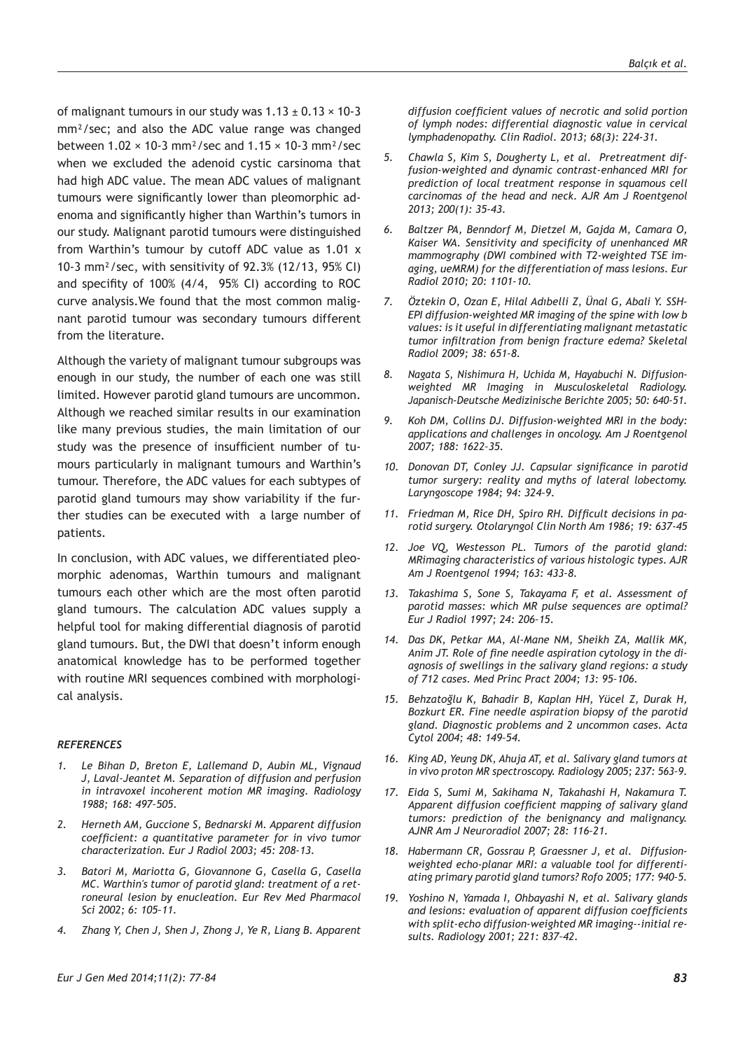of malignant tumours in our study was  $1.13 \pm 0.13 \times 10^{-3}$ mm²/sec; and also the ADC value range was changed between  $1.02 \times 10^{-3}$  mm<sup>2</sup>/sec and  $1.15 \times 10^{-3}$  mm<sup>2</sup>/sec when we excluded the adenoid cystic carsinoma that had high ADC value. The mean ADC values of malignant tumours were significantly lower than pleomorphic adenoma and significantly higher than Warthin's tumors in our study. Malignant parotid tumours were distinguished from Warthin's tumour by cutoff ADC value as 1.01 x 10-3 mm²/sec, with sensitivity of 92.3% (12/13, 95% CI) and specifity of 100% (4/4, 95% CI) according to ROC curve analysis.We found that the most common malignant parotid tumour was secondary tumours different from the literature.

Although the variety of malignant tumour subgroups was enough in our study, the number of each one was still limited. However parotid gland tumours are uncommon. Although we reached similar results in our examination like many previous studies, the main limitation of our study was the presence of insufficient number of tumours particularly in malignant tumours and Warthin's tumour. Therefore, the ADC values for each subtypes of parotid gland tumours may show variability if the further studies can be executed with a large number of patients.

In conclusion, with ADC values, we differentiated pleomorphic adenomas, Warthin tumours and malignant tumours each other which are the most often parotid gland tumours. The calculation ADC values supply a helpful tool for making differential diagnosis of parotid gland tumours. But, the DWI that doesn't inform enough anatomical knowledge has to be performed together with routine MRI sequences combined with morphological analysis.

#### *REFERENCES*

- *1. Le Bihan D, Breton E, Lallemand D, Aubin ML, Vignaud J, Laval-Jeantet M. Separation of diffusion and perfusion in intravoxel incoherent motion MR imaging. Radiology 1988; 168: 497–505.*
- *2. Herneth AM, Guccione S, Bednarski M. Apparent diffusion coefficient: a quantitative parameter for in vivo tumor characterization. Eur J Radiol 2003; 45: 208-13.*
- *3. Batori M, Mariotta G, Giovannone G, Casella G, Casella MC. Warthin's tumor of parotid gland: treatment of a retroneural lesion by enucleation. Eur Rev Med Pharmacol Sci 2002; 6: 105–11.*
- *4. Zhang Y, Chen J, Shen J, Zhong J, Ye R, Liang B. Apparent*

*diffusion coefficient values of necrotic and solid portion of lymph nodes: differential diagnostic value in cervical lymphadenopathy. Clin Radiol. 2013; 68(3): 224-31.*

- *5. Chawla S, Kim S, Dougherty L, et al. Pretreatment diffusion-weighted and dynamic contrast-enhanced MRI for prediction of local treatment response in squamous cell carcinomas of the head and neck. AJR Am J Roentgenol 2013; 200(1): 35-43.*
- *6. Baltzer PA, Benndorf M, Dietzel M, Gajda M, Camara O, Kaiser WA. Sensitivity and specificity of unenhanced MR mammography (DWI combined with T2-weighted TSE imaging, ueMRM) for the differentiation of mass lesions. Eur Radiol 2010; 20: 1101-10.*
- *7. Öztekin O, Ozan E, Hilal Adıbelli Z, Ünal G, Abali Y. SSH-EPI diffusion-weighted MR imaging of the spine with low b values: is it useful in differentiating malignant metastatic tumor infiltration from benign fracture edema? Skeletal Radiol 2009; 38: 651-8.*
- *8. Nagata S, Nishimura H, Uchida M, Hayabuchi N. Diffusionweighted MR Imaging in Musculoskeletal Radiology. Japanisch-Deutsche Medizinische Berichte 2005; 50: 640-51.*
- *9. Koh DM, Collins DJ. Diffusion-weighted MRI in the body: applications and challenges in oncology. Am J Roentgenol 2007; 188: 1622–35.*
- *10. Donovan DT, Conley JJ. Capsular significance in parotid tumor surgery: reality and myths of lateral lobectomy. Laryngoscope 1984; 94: 324–9.*
- *11. Friedman M, Rice DH, Spiro RH. Difficult decisions in parotid surgery. Otolaryngol Clin North Am 1986; 19: 637-45*
- *12. Joe VQ, Westesson PL. Tumors of the parotid gland: MRimaging characteristics of various histologic types. AJR Am J Roentgenol 1994; 163: 433–8.*
- *13. Takashima S, Sone S, Takayama F, et al. Assessment of parotid masses: which MR pulse sequences are optimal? Eur J Radiol 1997; 24: 206–15.*
- *14. Das DK, Petkar MA, Al-Mane NM, Sheikh ZA, Mallik MK, Anim JT. Role of fine needle aspiration cytology in the diagnosis of swellings in the salivary gland regions: a study of 712 cases. Med Princ Pract 2004; 13: 95–106.*
- *15. Behzatoğlu K, Bahadir B, Kaplan HH, Yücel Z, Durak H, Bozkurt ER. Fine needle aspiration biopsy of the parotid gland. Diagnostic problems and 2 uncommon cases. Acta Cytol 2004; 48: 149–54.*
- *16. King AD, Yeung DK, Ahuja AT, et al. Salivary gland tumors at in vivo proton MR spectroscopy. Radiology 2005; 237: 563–9.*
- *17. Eida S, Sumi M, Sakihama N, Takahashi H, Nakamura T. Apparent diffusion coefficient mapping of salivary gland tumors: prediction of the benignancy and malignancy. AJNR Am J Neuroradiol 2007; 28: 116–21.*
- *18. Habermann CR, Gossrau P, Graessner J, et al. Diffusionweighted echo-planar MRI: a valuable tool for differentiating primary parotid gland tumors? Rofo 2005; 177: 940–5.*
- *19. Yoshino N, Yamada I, Ohbayashi N, et al. Salivary glands and lesions: evaluation of apparent diffusion coefficients with split-echo diffusion-weighted MR imaging--initial results. Radiology 2001; 221: 837–42.*